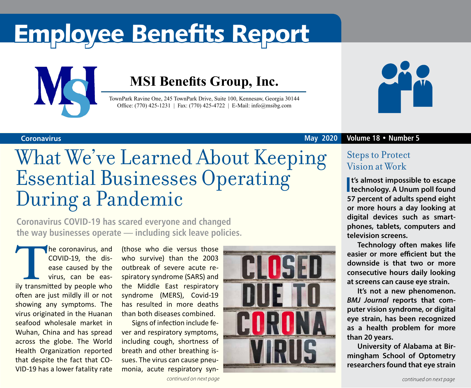# Employee Benefits Report



### **MSI Benefits Group, Inc.**

TownPark Ravine One, 245 TownPark Drive, Suite 100, Kennesaw, Georgia 30144 Office: (770) 425-1231 | Fax: (770) 425-4722 | E-Mail: info@msibg.com



## What We've Learned About Keeping Essential Businesses Operating During a Pandemic

**Coronavirus COVID-19 has scared everyone and changed the way businesses operate — including sick leave policies.**

**The coronavirus, and COVID-19, the dis-**<br>
ease caused by the<br>
virus, can be eas-<br>
ily transmitted by people who COVID-19, the disease caused by the virus, can be easoften are just mildly ill or not showing any symptoms. The virus originated in the Huanan seafood wholesale market in Wuhan, China and has spread across the globe. The World Health Organization reported that despite the fact that CO-VID-19 has a lower fatality rate

(those who die versus those who survive) than the 2003 outbreak of severe acute respiratory syndrome (SARS) and the Middle East respiratory syndrome (MERS), Covid-19 has resulted in more deaths than both diseases combined.

Signs of infection include fever and respiratory symptoms, including cough, shortness of breath and other breathing issues. The virus can cause pneumonia, acute respiratory syn-





### **Coronavirus May 2020 Volume 18 • Number 5**

### Steps to Protect Vision at Work

**I**<sup>t's</sup> almost impossible to escape<br> **I** technology. A Unum poll found **t's almost impossible to escape 57 percent of adults spend eight or more hours a day looking at digital devices such as smartphones, tablets, computers and television screens.** 

**Technology often makes life easier or more efficient but the downside is that two or more consecutive hours daily looking at screens can cause eye strain.** 

**It's not a new phenomenon.**  *BMJ Journal* **reports that computer vision syndrome, or digital eye strain, has been recognized as a health problem for more than 20 years.** 

**University of Alabama at Birmingham School of Optometry researchers found that eye strain**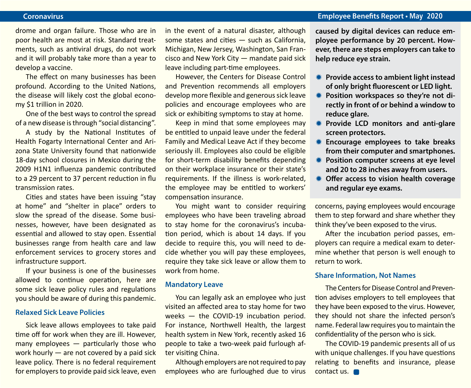### **Coronavirus Employee Benefits Report • May 2020**

drome and organ failure. Those who are in poor health are most at risk. Standard treatments, such as antiviral drugs, do not work and it will probably take more than a year to develop a vaccine.

The effect on many businesses has been profound. According to the United Nations, the disease will likely cost the global economy \$1 trillion in 2020.

One of the best ways to control the spread of a new disease is through "social distancing".

A study by the National Institutes of Health Fogarty International Center and Arizona State University found that nationwide 18-day school closures in Mexico during the 2009 H1N1 influenza pandemic contributed to a 29 percent to 37 percent reduction in flu transmission rates.

Cities and states have been issuing "stay at home" and "shelter in place" orders to slow the spread of the disease. Some businesses, however, have been designated as essential and allowed to stay open. Essential businesses range from health care and law enforcement services to grocery stores and infrastructure support.

If your business is one of the businesses allowed to continue operation, here are some sick leave policy rules and regulations you should be aware of during this pandemic.

#### **Relaxed Sick Leave Policies**

Sick leave allows employees to take paid time off for work when they are ill. However, many employees — particularly those who work hourly — are not covered by a paid sick leave policy. There is no federal requirement for employers to provide paid sick leave, even in the event of a natural disaster, although some states and cities — such as California, Michigan, New Jersey, Washington, San Francisco and New York City — mandate paid sick leave including part-time employees.

However, the Centers for Disease Control and Prevention recommends all employers develop more flexible and generous sick leave policies and encourage employees who are sick or exhibiting symptoms to stay at home.

Keep in mind that some employees may be entitled to unpaid leave under the federal Family and Medical Leave Act if they become seriously ill. Employees also could be eligible for short-term disability benefits depending on their workplace insurance or their state's requirements. If the illness is work-related, the employee may be entitled to workers' compensation insurance.

You might want to consider requiring employees who have been traveling abroad to stay home for the coronavirus's incubation period, which is about 14 days. If you decide to require this, you will need to decide whether you will pay these employees, require they take sick leave or allow them to work from home.

#### **Mandatory Leave**

You can legally ask an employee who just visited an affected area to stay home for two weeks — the COVID-19 incubation period. For instance, Northwell Health, the largest health system in New York, recently asked 16 people to take a two-week paid furlough after visiting China.

Although employers are not required to pay employees who are furloughed due to virus **caused by digital devices can reduce employee performance by 20 percent. However, there are steps employers can take to help reduce eye strain.**

- **K** Provide access to ambient light instead **of only bright fluorescent or LED light.**
- **\* Position workspaces so they're not directly in front of or behind a window to reduce glare.**
- **KED MONIT** Provide LCD monitors and anti-glare **screen protectors.**
- **K** Encourage employees to take breaks **from their computer and smartphones.**
- **\* Position computer screens at eye level and 20 to 28 inches away from users.**
- **\* Offer access to vision health coverage and regular eye exams.**

concerns, paying employees would encourage them to step forward and share whether they think they've been exposed to the virus.

After the incubation period passes, employers can require a medical exam to determine whether that person is well enough to return to work.

#### **Share Information, Not Names**

The Centers for Disease Control and Prevention advises employers to tell employees that they have been exposed to the virus. However, they should not share the infected person's name. Federal law requires you to maintain the confidentiality of the person who is sick.

The COVID-19 pandemic presents all of us with unique challenges. If you have questions relating to benefits and insurance, please contact us.  $\Box$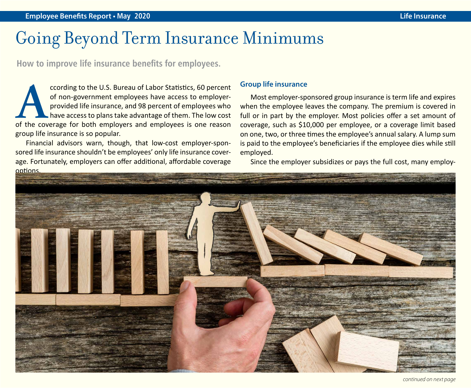### Going Beyond Term Insurance Minimums

**How to improve life insurance benefits for employees.**

**According to the U.S. Bureau of Labor Statistics, 60 percent of non-government employees have access to employer-provided life insurance, and 98 percent of employees who have access to plans take advantage of them. The lo** of non-government employees have access to employerprovided life insurance, and 98 percent of employees who have access to plans take advantage of them. The low cost group life insurance is so popular.

Financial advisors warn, though, that low-cost employer-sponsored life insurance shouldn't be employees' only life insurance coverage. Fortunately, employers can offer additional, affordable coverage options.

### **Group life insurance**

Most employer-sponsored group insurance is term life and expires when the employee leaves the company. The premium is covered in full or in part by the employer. Most policies offer a set amount of coverage, such as \$10,000 per employee, or a coverage limit based on one, two, or three times the employee's annual salary. A lump sum is paid to the employee's beneficiaries if the employee dies while still employed.

Since the employer subsidizes or pays the full cost, many employ-

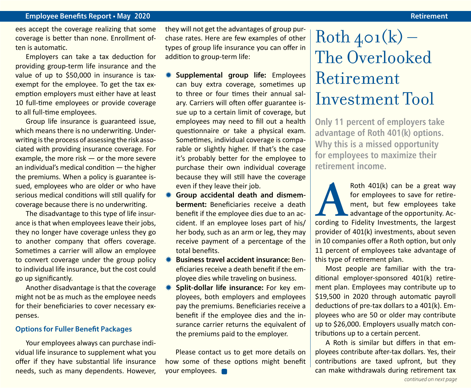ees accept the coverage realizing that some coverage is better than none. Enrollment often is automatic.

Employers can take a tax deduction for providing group-term life insurance and the value of up to \$50,000 in insurance is taxexempt for the employee. To get the tax exemption employers must either have at least 10 full-time employees or provide coverage to all full-time employees.

Group life insurance is guaranteed issue, which means there is no underwriting. Underwriting is the process of assessing the risk associated with providing insurance coverage. For example, the more risk — or the more severe an individual's medical condition — the higher the premiums. When a policy is guarantee issued, employees who are older or who have serious medical conditions will still qualify for coverage because there is no underwriting.

The disadvantage to this type of life insurance is that when employees leave their jobs, they no longer have coverage unless they go to another company that offers coverage. Sometimes a carrier will allow an employee to convert coverage under the group policy to individual life insurance, but the cost could go up significantly.

Another disadvantage is that the coverage might not be as much as the employee needs for their beneficiaries to cover necessary expenses.

### **Options for Fuller Benefit Packages**

Your employees always can purchase individual life insurance to supplement what you offer if they have substantial life insurance needs, such as many dependents. However, they will not get the advantages of group purchase rates. Here are few examples of other types of group life insurance you can offer in addition to group-term life:

- **\*\*** Supplemental group life: Employees can buy extra coverage, sometimes up to three or four times their annual salary. Carriers will often offer guarantee issue up to a certain limit of coverage, but employees may need to fill out a health questionnaire or take a physical exam. Sometimes, individual coverage is comparable or slightly higher. If that's the case it's probably better for the employee to purchase their own individual coverage because they will still have the coverage even if they leave their job.
- $*$  **Group accidental death and dismemberment:** Beneficiaries receive a death benefit if the employee dies due to an accident. If an employee loses part of his/ her body, such as an arm or leg, they may receive payment of a percentage of the total benefits.
- **Business travel accident insurance: Ben**eficiaries receive a death benefit if the employee dies while traveling on business.
- **\*\*** Split-dollar life insurance: For key employees, both employers and employees pay the premiums. Beneficiaries receive a benefit if the employee dies and the insurance carrier returns the equivalent of the premiums paid to the employer.

Please contact us to get more details on how some of these options might benefit your employees.

### $Roth_{4}o_1(k)$  – The Overlooked Retirement Investment Tool

**Only 11 percent of employers take advantage of Roth 401(k) options. Why this is a missed opportunity for employees to maximize their retirement income.**

Roth 401(k) can be a great way<br>for employees to save for retire-<br>ment, but few employees take<br>advantage of the opportunity. Ac-<br>cording to Fidelity Investments, the largest for employees to save for retirement, but few employees take advantage of the opportunity. Acprovider of 401(k) investments, about seven in 10 companies offer a Roth option, but only 11 percent of employees take advantage of this type of retirement plan.

Most people are familiar with the traditional employer-sponsored 401(k) retirement plan. Employees may contribute up to \$19,500 in 2020 through automatic payroll deductions of pre-tax dollars to a 401(k). Employees who are 50 or older may contribute up to \$26,000. Employers usually match contributions up to a certain percent.

A Roth is similar but differs in that employees contribute after-tax dollars. Yes, their contributions are taxed upfront, but they can make withdrawals during retirement tax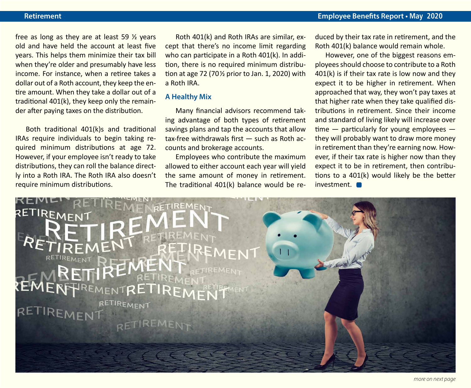### **Retirement Employee Benefits Report • May 2020**

free as long as they are at least 59 ½ years old and have held the account at least five years. This helps them minimize their tax bill when they're older and presumably have less income. For instance, when a retiree takes a dollar out of a Roth account, they keep the entire amount. When they take a dollar out of a traditional 401(k), they keep only the remainder after paying taxes on the distribution.

Both traditional 401(k)s and traditional IRAs require individuals to begin taking required minimum distributions at age 72. However, if your employee isn't ready to take distributions, they can roll the balance directly into a Roth IRA. The Roth IRA also doesn't require minimum distributions.

Roth 401(k) and Roth IRAs are similar, except that there's no income limit regarding who can participate in a Roth 401(k). In addition, there is no required minimum distribution at age 72 (70 $\frac{1}{2}$  prior to Jan. 1, 2020) with a Roth IRA.

### **A Healthy Mix**

Many financial advisors recommend taking advantage of both types of retirement savings plans and tap the accounts that allow tax-free withdrawals first — such as Roth accounts and brokerage accounts.

Employees who contribute the maximum allowed to either account each year will yield the same amount of money in retirement. The traditional 401(k) balance would be reduced by their tax rate in retirement, and the Roth 401(k) balance would remain whole.

However, one of the biggest reasons employees should choose to contribute to a Roth 401(k) is if their tax rate is low now and they expect it to be higher in retirement. When approached that way, they won't pay taxes at that higher rate when they take qualified distributions in retirement. Since their income and standard of living likely will increase over time  $-$  particularly for young employees  $$ they will probably want to draw more money in retirement than they're earning now. However, if their tax rate is higher now than they expect it to be in retirement, then contributions to a 401(k) would likely be the better investment.